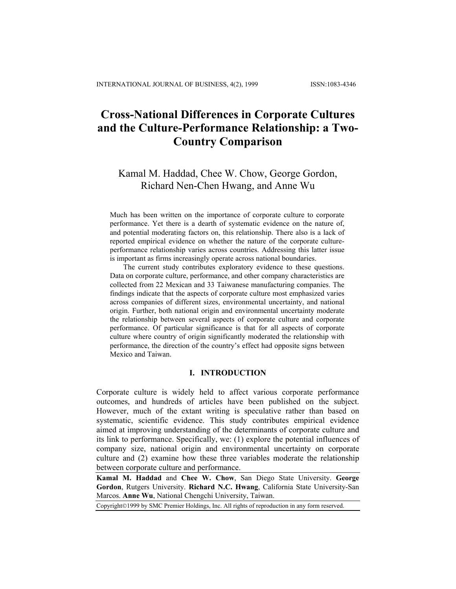# **Cross-National Differences in Corporate Cultures and the Culture-Performance Relationship: a Two-Country Comparison**

## Kamal M. Haddad, Chee W. Chow, George Gordon, Richard Nen-Chen Hwang, and Anne Wu

Much has been written on the importance of corporate culture to corporate performance. Yet there is a dearth of systematic evidence on the nature of, and potential moderating factors on, this relationship. There also is a lack of reported empirical evidence on whether the nature of the corporate cultureperformance relationship varies across countries. Addressing this latter issue is important as firms increasingly operate across national boundaries.

The current study contributes exploratory evidence to these questions. Data on corporate culture, performance, and other company characteristics are collected from 22 Mexican and 33 Taiwanese manufacturing companies. The findings indicate that the aspects of corporate culture most emphasized varies across companies of different sizes, environmental uncertainty, and national origin. Further, both national origin and environmental uncertainty moderate the relationship between several aspects of corporate culture and corporate performance. Of particular significance is that for all aspects of corporate culture where country of origin significantly moderated the relationship with performance, the direction of the country's effect had opposite signs between Mexico and Taiwan.

#### **I. INTRODUCTION**

Corporate culture is widely held to affect various corporate performance outcomes, and hundreds of articles have been published on the subject. However, much of the extant writing is speculative rather than based on systematic, scientific evidence. This study contributes empirical evidence aimed at improving understanding of the determinants of corporate culture and its link to performance. Specifically, we: (1) explore the potential influences of company size, national origin and environmental uncertainty on corporate culture and (2) examine how these three variables moderate the relationship between corporate culture and performance.

**Kamal M. Haddad** and **Chee W. Chow**, San Diego State University. **George Gordon**, Rutgers University. **Richard N.C. Hwang**, California State University-San Marcos. **Anne Wu**, National Chengchi University, Taiwan.

Copyright©1999 by SMC Premier Holdings, Inc. All rights of reproduction in any form reserved.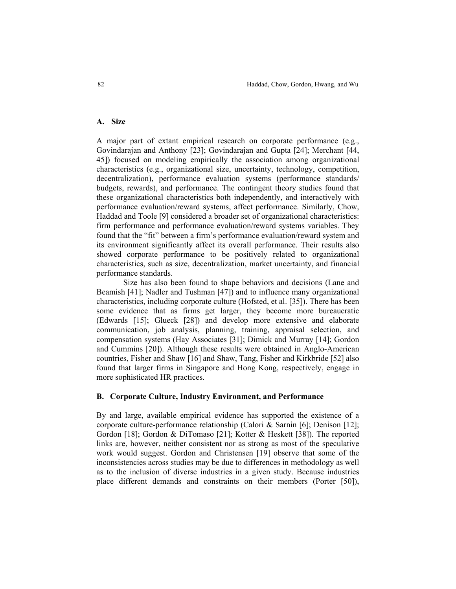## **A. Size**

A major part of extant empirical research on corporate performance (e.g., Govindarajan and Anthony [23]; Govindarajan and Gupta [24]; Merchant [44, 45]) focused on modeling empirically the association among organizational characteristics (e.g., organizational size, uncertainty, technology, competition, decentralization), performance evaluation systems (performance standards/ budgets, rewards), and performance. The contingent theory studies found that these organizational characteristics both independently, and interactively with performance evaluation/reward systems, affect performance. Similarly, Chow, Haddad and Toole [9] considered a broader set of organizational characteristics: firm performance and performance evaluation/reward systems variables. They found that the "fit" between a firm's performance evaluation/reward system and its environment significantly affect its overall performance. Their results also showed corporate performance to be positively related to organizational characteristics, such as size, decentralization, market uncertainty, and financial performance standards.

Size has also been found to shape behaviors and decisions (Lane and Beamish [41]; Nadler and Tushman [47]) and to influence many organizational characteristics, including corporate culture (Hofsted, et al. [35]). There has been some evidence that as firms get larger, they become more bureaucratic (Edwards [15]; Glueck [28]) and develop more extensive and elaborate communication, job analysis, planning, training, appraisal selection, and compensation systems (Hay Associates [31]; Dimick and Murray [14]; Gordon and Cummins [20]). Although these results were obtained in Anglo-American countries, Fisher and Shaw [16] and Shaw, Tang, Fisher and Kirkbride [52] also found that larger firms in Singapore and Hong Kong, respectively, engage in more sophisticated HR practices.

#### **B. Corporate Culture, Industry Environment, and Performance**

By and large, available empirical evidence has supported the existence of a corporate culture-performance relationship (Calori & Sarnin [6]; Denison [12]; Gordon [18]; Gordon & DiTomaso [21]; Kotter & Heskett [38]). The reported links are, however, neither consistent nor as strong as most of the speculative work would suggest. Gordon and Christensen [19] observe that some of the inconsistencies across studies may be due to differences in methodology as well as to the inclusion of diverse industries in a given study. Because industries place different demands and constraints on their members (Porter [50]),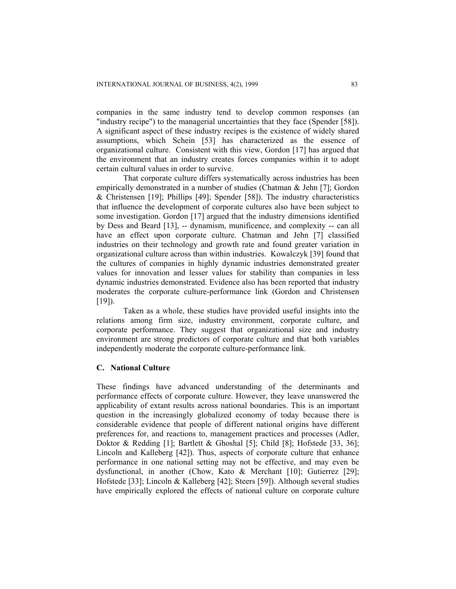companies in the same industry tend to develop common responses (an "industry recipe") to the managerial uncertainties that they face (Spender [58]). A significant aspect of these industry recipes is the existence of widely shared assumptions, which Schein [53] has characterized as the essence of organizational culture. Consistent with this view, Gordon [17] has argued that the environment that an industry creates forces companies within it to adopt certain cultural values in order to survive.

That corporate culture differs systematically across industries has been empirically demonstrated in a number of studies (Chatman & Jehn [7]; Gordon & Christensen [19]; Phillips [49]; Spender [58]). The industry characteristics that influence the development of corporate cultures also have been subject to some investigation. Gordon [17] argued that the industry dimensions identified by Dess and Beard [13], -- dynamism, munificence, and complexity -- can all have an effect upon corporate culture. Chatman and Jehn [7] classified industries on their technology and growth rate and found greater variation in organizational culture across than within industries. Kowalczyk [39] found that the cultures of companies in highly dynamic industries demonstrated greater values for innovation and lesser values for stability than companies in less dynamic industries demonstrated. Evidence also has been reported that industry moderates the corporate culture-performance link (Gordon and Christensen  $[19]$ .

Taken as a whole, these studies have provided useful insights into the relations among firm size, industry environment, corporate culture, and corporate performance. They suggest that organizational size and industry environment are strong predictors of corporate culture and that both variables independently moderate the corporate culture-performance link.

## **C. National Culture**

These findings have advanced understanding of the determinants and performance effects of corporate culture. However, they leave unanswered the applicability of extant results across national boundaries. This is an important question in the increasingly globalized economy of today because there is considerable evidence that people of different national origins have different preferences for, and reactions to, management practices and processes (Adler, Doktor & Redding [1]; Bartlett & Ghoshal [5]; Child [8]; Hofstede [33, 36]; Lincoln and Kalleberg [42]). Thus, aspects of corporate culture that enhance performance in one national setting may not be effective, and may even be dysfunctional, in another (Chow, Kato & Merchant [10]; Gutierrez [29]; Hofstede [33]; Lincoln & Kalleberg [42]; Steers [59]). Although several studies have empirically explored the effects of national culture on corporate culture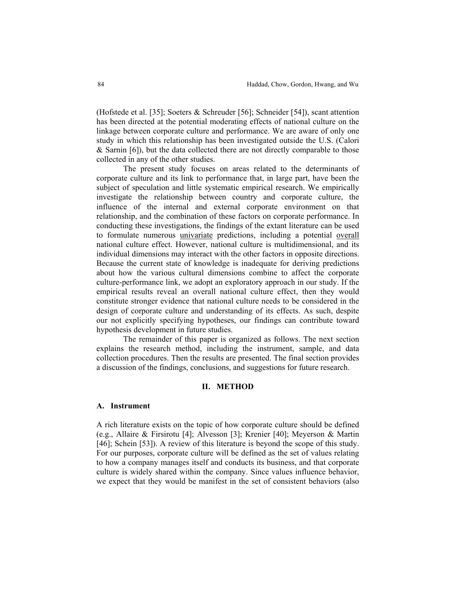(Hofstede et al. [35]; Soeters & Schreuder [56]; Schneider [54]), scant attention has been directed at the potential moderating effects of national culture on the linkage between corporate culture and performance. We are aware of only one study in which this relationship has been investigated outside the U.S. (Calori & Sarnin [6]), but the data collected there are not directly comparable to those collected in any of the other studies.

The present study focuses on areas related to the determinants of corporate culture and its link to performance that, in large part, have been the subject of speculation and little systematic empirical research. We empirically investigate the relationship between country and corporate culture, the influence of the internal and external corporate environment on that relationship, and the combination of these factors on corporate performance. In conducting these investigations, the findings of the extant literature can be used to formulate numerous univariate predictions, including a potential overall national culture effect. However, national culture is multidimensional, and its individual dimensions may interact with the other factors in opposite directions. Because the current state of knowledge is inadequate for deriving predictions about how the various cultural dimensions combine to affect the corporate culture-performance link, we adopt an exploratory approach in our study. If the empirical results reveal an overall national culture effect, then they would constitute stronger evidence that national culture needs to be considered in the design of corporate culture and understanding of its effects. As such, despite our not explicitly specifying hypotheses, our findings can contribute toward hypothesis development in future studies.

The remainder of this paper is organized as follows. The next section explains the research method, including the instrument, sample, and data collection procedures. Then the results are presented. The final section provides a discussion of the findings, conclusions, and suggestions for future research.

#### **II. METHOD**

#### **A. Instrument**

A rich literature exists on the topic of how corporate culture should be defined (e.g., Allaire & Firsirotu [4]; Alvesson [3]; Krenier [40]; Meyerson & Martin [46]; Schein [53]). A review of this literature is beyond the scope of this study. For our purposes, corporate culture will be defined as the set of values relating to how a company manages itself and conducts its business, and that corporate culture is widely shared within the company. Since values influence behavior, we expect that they would be manifest in the set of consistent behaviors (also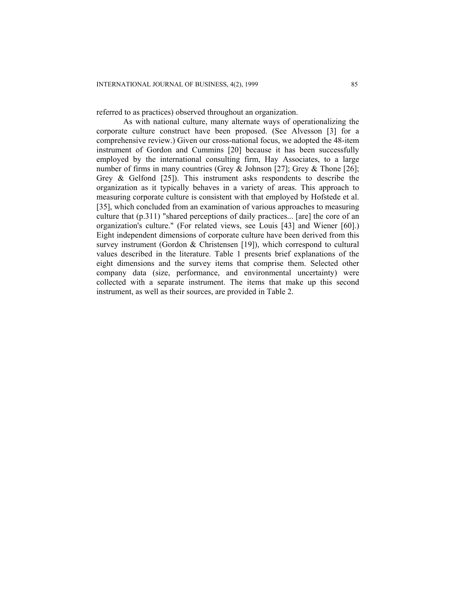referred to as practices) observed throughout an organization.

As with national culture, many alternate ways of operationalizing the corporate culture construct have been proposed. (See Alvesson [3] for a comprehensive review.) Given our cross-national focus, we adopted the 48-item instrument of Gordon and Cummins [20] because it has been successfully employed by the international consulting firm, Hay Associates, to a large number of firms in many countries (Grey & Johnson [27]; Grey & Thone [26]; Grey & Gelfond [25]). This instrument asks respondents to describe the organization as it typically behaves in a variety of areas. This approach to measuring corporate culture is consistent with that employed by Hofstede et al. [35], which concluded from an examination of various approaches to measuring culture that (p.311) "shared perceptions of daily practices... [are] the core of an organization's culture." (For related views, see Louis [43] and Wiener [60].) Eight independent dimensions of corporate culture have been derived from this survey instrument (Gordon & Christensen [19]), which correspond to cultural values described in the literature. Table 1 presents brief explanations of the eight dimensions and the survey items that comprise them. Selected other company data (size, performance, and environmental uncertainty) were collected with a separate instrument. The items that make up this second instrument, as well as their sources, are provided in Table 2.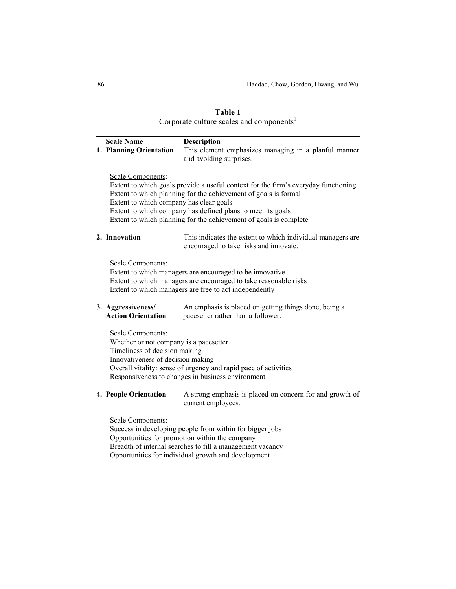## **Table 1**  Corporate culture scales and components $^{1}$

| <b>Scale Name</b><br>1. Planning Orientation                                                                                      | <b>Description</b><br>This element emphasizes managing in a planful manner<br>and avoiding surprises.                                                                                                                                                                                     |
|-----------------------------------------------------------------------------------------------------------------------------------|-------------------------------------------------------------------------------------------------------------------------------------------------------------------------------------------------------------------------------------------------------------------------------------------|
| Scale Components:<br>Extent to which company has clear goals                                                                      | Extent to which goals provide a useful context for the firm's everyday functioning<br>Extent to which planning for the achievement of goals is formal<br>Extent to which company has defined plans to meet its goals<br>Extent to which planning for the achievement of goals is complete |
| 2. Innovation                                                                                                                     | This indicates the extent to which individual managers are<br>encouraged to take risks and innovate.                                                                                                                                                                                      |
| Scale Components:                                                                                                                 | Extent to which managers are encouraged to be innovative<br>Extent to which managers are encouraged to take reasonable risks<br>Extent to which managers are free to act independently                                                                                                    |
| 3. Aggressiveness/<br><b>Action Orientation</b>                                                                                   | An emphasis is placed on getting things done, being a<br>pacesetter rather than a follower.                                                                                                                                                                                               |
| Scale Components:<br>Whether or not company is a pacesetter<br>Timeliness of decision making<br>Innovativeness of decision making | Overall vitality: sense of urgency and rapid pace of activities<br>Responsiveness to changes in business environment                                                                                                                                                                      |
| 4. People Orientation                                                                                                             | A strong emphasis is placed on concern for and growth of<br>current employees.                                                                                                                                                                                                            |
| Scale Components:                                                                                                                 |                                                                                                                                                                                                                                                                                           |

Success in developing people from within for bigger jobs Opportunities for promotion within the company Breadth of internal searches to fill a management vacancy Opportunities for individual growth and development

÷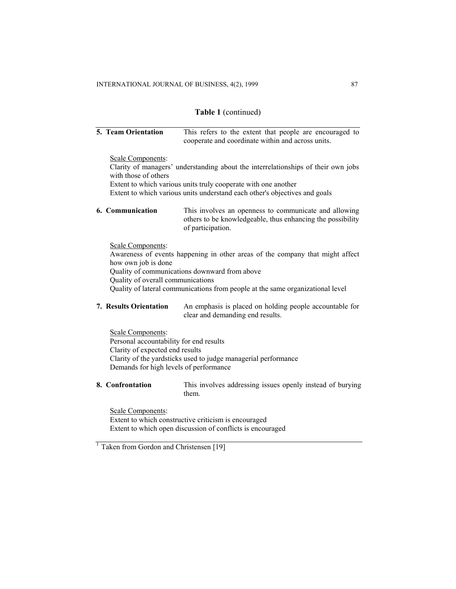### **Table 1** (continued)

## **5. Team Orientation** This refers to the extent that people are encouraged to cooperate and coordinate within and across units.

#### Scale Components:

Clarity of managers' understanding about the interrelationships of their own jobs with those of others

Extent to which various units truly cooperate with one another Extent to which various units understand each other's objectives and goals

**6. Communication** This involves an openness to communicate and allowing others to be knowledgeable, thus enhancing the possibility of participation.

## Scale Components:

Awareness of events happening in other areas of the company that might affect how own job is done Quality of communications downward from above Quality of overall communications Quality of lateral communications from people at the same organizational level

**7. Results Orientation** An emphasis is placed on holding people accountable for clear and demanding end results.

Scale Components: Personal accountability for end results Clarity of expected end results Clarity of the yardsticks used to judge managerial performance Demands for high levels of performance

**8. Confrontation** This involves addressing issues openly instead of burying them.

Scale Components: Extent to which constructive criticism is encouraged Extent to which open discussion of conflicts is encouraged

 $\frac{1}{1}$  Taken from Gordon and Christensen [19]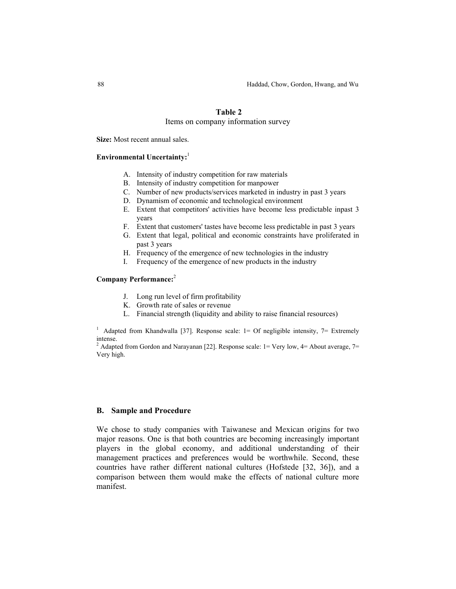## **Table 2**

#### Items on company information survey

**Size:** Most recent annual sales.

#### **Environmental Uncertainty:**<sup>1</sup>

- A. Intensity of industry competition for raw materials
- B. Intensity of industry competition for manpower
- C. Number of new products/services marketed in industry in past 3 years
- D. Dynamism of economic and technological environment
- E. Extent that competitors' activities have become less predictable inpast 3 years
- F. Extent that customers' tastes have become less predictable in past 3 years
- G. Extent that legal, political and economic constraints have proliferated in past 3 years
- H. Frequency of the emergence of new technologies in the industry
- I. Frequency of the emergence of new products in the industry

#### **Company Performance:**<sup>2</sup>

- J. Long run level of firm profitability
- K. Growth rate of sales or revenue
- L. Financial strength (liquidity and ability to raise financial resources)

<sup>1</sup> Adapted from Khandwalla [37]. Response scale:  $1=$  Of negligible intensity,  $7=$  Extremely intense.

<sup>2</sup> Adapted from Gordon and Narayanan [22]. Response scale:  $1 = \text{Very low}, 4 = \text{About average}, 7 =$ Very high.

#### **B. Sample and Procedure**

We chose to study companies with Taiwanese and Mexican origins for two major reasons. One is that both countries are becoming increasingly important players in the global economy, and additional understanding of their management practices and preferences would be worthwhile. Second, these countries have rather different national cultures (Hofstede [32, 36]), and a comparison between them would make the effects of national culture more manifest.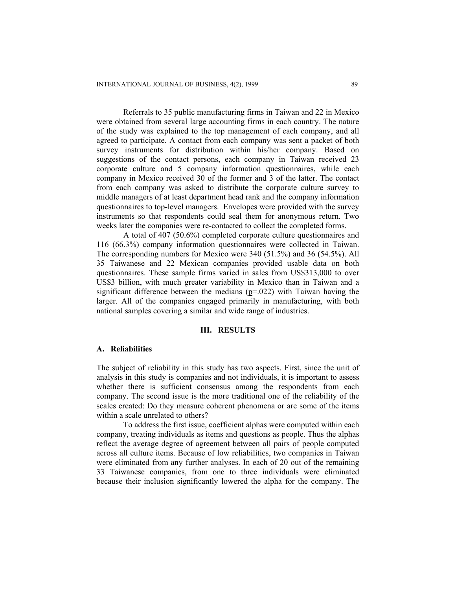Referrals to 35 public manufacturing firms in Taiwan and 22 in Mexico were obtained from several large accounting firms in each country. The nature of the study was explained to the top management of each company, and all agreed to participate. A contact from each company was sent a packet of both survey instruments for distribution within his/her company. Based on suggestions of the contact persons, each company in Taiwan received 23 corporate culture and 5 company information questionnaires, while each company in Mexico received 30 of the former and 3 of the latter. The contact from each company was asked to distribute the corporate culture survey to middle managers of at least department head rank and the company information questionnaires to top-level managers. Envelopes were provided with the survey instruments so that respondents could seal them for anonymous return. Two weeks later the companies were re-contacted to collect the completed forms.

A total of 407 (50.6%) completed corporate culture questionnaires and 116 (66.3%) company information questionnaires were collected in Taiwan. The corresponding numbers for Mexico were 340 (51.5%) and 36 (54.5%). All 35 Taiwanese and 22 Mexican companies provided usable data on both questionnaires. These sample firms varied in sales from US\$313,000 to over US\$3 billion, with much greater variability in Mexico than in Taiwan and a significant difference between the medians  $(p=0.022)$  with Taiwan having the larger. All of the companies engaged primarily in manufacturing, with both national samples covering a similar and wide range of industries.

#### **III. RESULTS**

#### **A. Reliabilities**

The subject of reliability in this study has two aspects. First, since the unit of analysis in this study is companies and not individuals, it is important to assess whether there is sufficient consensus among the respondents from each company. The second issue is the more traditional one of the reliability of the scales created: Do they measure coherent phenomena or are some of the items within a scale unrelated to others?

To address the first issue, coefficient alphas were computed within each company, treating individuals as items and questions as people. Thus the alphas reflect the average degree of agreement between all pairs of people computed across all culture items. Because of low reliabilities, two companies in Taiwan were eliminated from any further analyses. In each of 20 out of the remaining 33 Taiwanese companies, from one to three individuals were eliminated because their inclusion significantly lowered the alpha for the company. The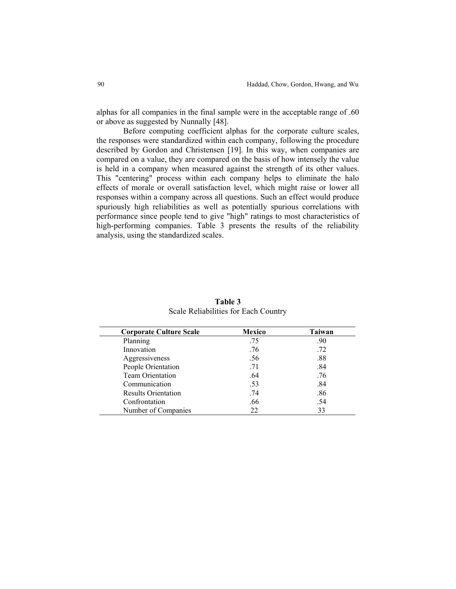alphas for all companies in the final sample were in the acceptable range of .60 or above as suggested by Nunnally [48].

Before computing coefficient alphas for the corporate culture scales, the responses were standardized within each company, following the procedure described by Gordon and Christensen [19]. In this way, when companies are compared on a value, they are compared on the basis of how intensely the value is held in a company when measured against the strength of its other values. This "centering" process within each company helps to eliminate the halo effects of morale or overall satisfaction level, which might raise or lower all responses within a company across all questions. Such an effect would produce spuriously high reliabilities as well as potentially spurious correlations with performance since people tend to give "high" ratings to most characteristics of high-performing companies. Table 3 presents the results of the reliability analysis, using the standardized scales.

| <b>Corporate Culture Scale</b> | <b>Mexico</b> | <b>Taiwan</b> |
|--------------------------------|---------------|---------------|
| Planning                       | .75           | .90           |
| Innovation                     | .76           | .72           |
| Aggressiveness                 | .56           | .88           |
| People Orientation             | .71           | .84           |
| <b>Team Orientation</b>        | .64           | .76           |
| Communication                  | .53           | .84           |
| <b>Results Orientation</b>     | .74           | .86           |
| Confrontation                  | .66           | .54           |
| Number of Companies            | 22            | 33            |

**Table 3** Scale Reliabilities for Each Country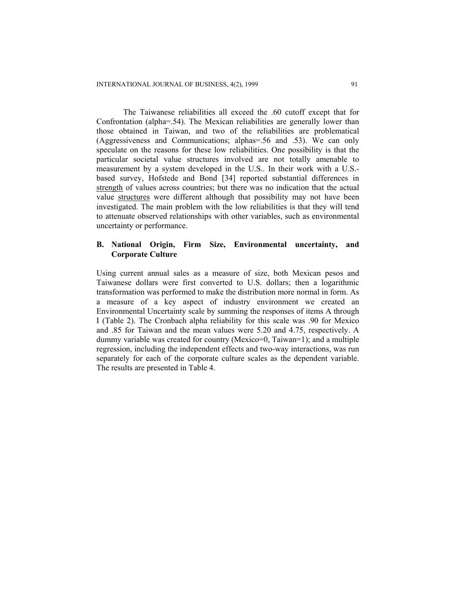The Taiwanese reliabilities all exceed the .60 cutoff except that for Confrontation (alpha=.54). The Mexican reliabilities are generally lower than those obtained in Taiwan, and two of the reliabilities are problematical (Aggressiveness and Communications; alphas=.56 and .53). We can only speculate on the reasons for these low reliabilities. One possibility is that the particular societal value structures involved are not totally amenable to measurement by a system developed in the U.S.. In their work with a U.S. based survey, Hofstede and Bond [34] reported substantial differences in strength of values across countries; but there was no indication that the actual value structures were different although that possibility may not have been investigated. The main problem with the low reliabilities is that they will tend to attenuate observed relationships with other variables, such as environmental uncertainty or performance.

## **B. National Origin, Firm Size, Environmental uncertainty, and Corporate Culture**

Using current annual sales as a measure of size, both Mexican pesos and Taiwanese dollars were first converted to U.S. dollars; then a logarithmic transformation was performed to make the distribution more normal in form. As a measure of a key aspect of industry environment we created an Environmental Uncertainty scale by summing the responses of items A through I (Table 2). The Cronbach alpha reliability for this scale was .90 for Mexico and .85 for Taiwan and the mean values were 5.20 and 4.75, respectively. A dummy variable was created for country (Mexico=0, Taiwan=1); and a multiple regression, including the independent effects and two-way interactions, was run separately for each of the corporate culture scales as the dependent variable. The results are presented in Table 4.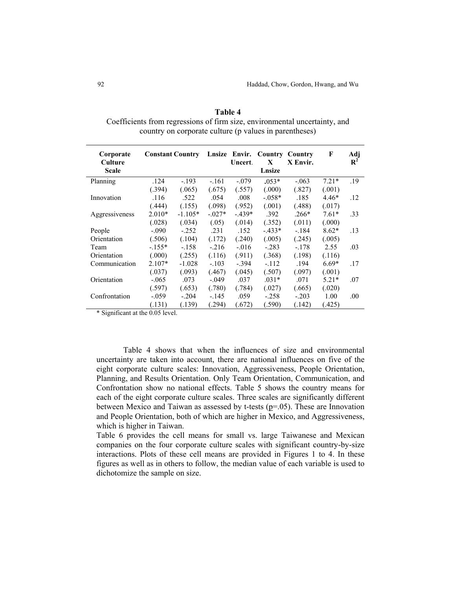| Corporate<br>Culture | <b>Constant Country</b> |           |           | Uncert. | Lnsize Envir. Country<br>X | Country<br>X Envir. | F       | Adj<br>$\mathbf{R}^2$ |
|----------------------|-------------------------|-----------|-----------|---------|----------------------------|---------------------|---------|-----------------------|
| Scale                |                         |           |           |         | Lnsize                     |                     |         |                       |
| Planning             | .124                    | $-.193$   | $-.161$   | $-.079$ | $.053*$                    | $-.063$             | $7.21*$ | .19                   |
|                      | (.394)                  | (.065)    | (.675)    | (.557)  | (.000)                     | (.827)              | (.001)  |                       |
| Innovation           | .116                    | .522      | .054      | .008    | $-0.058*$                  | .185                | $4.46*$ | .12                   |
|                      | (.444)                  | (.155)    | (.098)    | (.952)  | (.001)                     | (.488)              | (.017)  |                       |
| Aggressiveness       | $2.010*$                | $-1.105*$ | $-0.027*$ | $-439*$ | .392                       | $.266*$             | $7.61*$ | .33                   |
|                      | (.028)                  | (.034)    | (.05)     | (.014)  | (.352)                     | (.011)              | (.000)  |                       |
| People               | $-.090$                 | $-.252$   | .231      | .152    | $-.433*$                   | $-184$              | $8.62*$ | .13                   |
| Orientation          | (.506)                  | (.104)    | (.172)    | (.240)  | (.005)                     | (.245)              | (.005)  |                       |
| Team                 | $-155*$                 | $-.158$   | $-216$    | $-.016$ | $-.283$                    | $-.178$             | 2.55    | .03                   |
| Orientation          | (.000)                  | (.255)    | (.116)    | (.911)  | (.368)                     | (.198)              | (.116)  |                       |
| Communication        | $2.107*$                | $-1.028$  | $-.103$   | $-.394$ | $-.112$                    | .194                | $6.69*$ | .17                   |
|                      | (.037)                  | (.093)    | (.467)    | (.045)  | (.507)                     | (.097)              | (.001)  |                       |
| Orientation          | $-.065$                 | .073      | $-.049$   | .037    | $.031*$                    | .071                | $5.21*$ | .07                   |
|                      | (.597)                  | (.653)    | (.780)    | (.784)  | (.027)                     | (.665)              | (.020)  |                       |
| Confrontation        | $-.059$                 | $-.204$   | $-145$    | .059    | $-.258$                    | $-.203$             | 1.00    | .00.                  |
|                      | (.131)                  | (.139)    | (.294)    | (.672)  | (.590)                     | (.142)              | (.425)  |                       |

**Table 4**  Coefficients from regressions of firm size, environmental uncertainty, and country on corporate culture (p values in parentheses)

\* Significant at the 0.05 level.

Table 4 shows that when the influences of size and environmental uncertainty are taken into account, there are national influences on five of the eight corporate culture scales: Innovation, Aggressiveness, People Orientation, Planning, and Results Orientation. Only Team Orientation, Communication, and Confrontation show no national effects. Table 5 shows the country means for each of the eight corporate culture scales. Three scales are significantly different between Mexico and Taiwan as assessed by t-tests  $(p=.05)$ . These are Innovation and People Orientation, both of which are higher in Mexico, and Aggressiveness, which is higher in Taiwan.

Table 6 provides the cell means for small vs. large Taiwanese and Mexican companies on the four corporate culture scales with significant country-by-size interactions. Plots of these cell means are provided in Figures 1 to 4. In these figures as well as in others to follow, the median value of each variable is used to dichotomize the sample on size.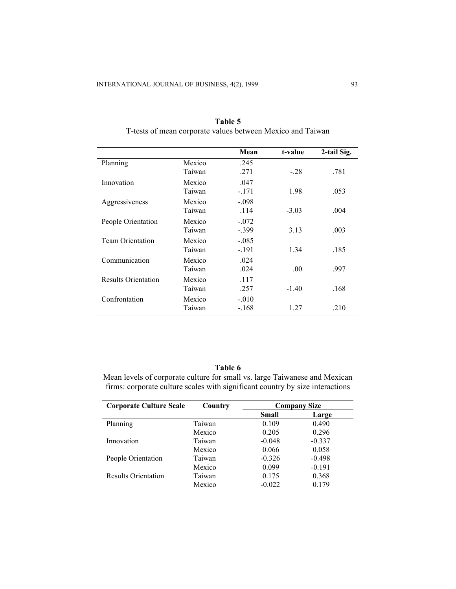|                            |                  | Mean               | t-value | 2-tail Sig. |
|----------------------------|------------------|--------------------|---------|-------------|
| Planning                   | Mexico<br>Taiwan | .245<br>.271       | $-.28$  | .781        |
| Innovation                 | Mexico<br>Taiwan | .047<br>$-.171$    | 1.98    | .053        |
| Aggressiveness             | Mexico<br>Taiwan | $-.098$<br>.114    | $-3.03$ | .004        |
| People Orientation         | Mexico<br>Taiwan | $-.072$<br>$-.399$ | 3.13    | .003        |
| <b>Team Orientation</b>    | Mexico<br>Taiwan | $-.085$<br>$-.191$ | 1.34    | .185        |
| Communication              | Mexico<br>Taiwan | .024<br>.024       | .00     | .997        |
| <b>Results Orientation</b> | Mexico<br>Taiwan | .117<br>.257       | $-1.40$ | .168        |
| Confrontation              | Mexico<br>Taiwan | $-.010$<br>$-168$  | 1.27    | .210        |

**Table 5**  T-tests of mean corporate values between Mexico and Taiwan

## **Table 6**

Mean levels of corporate culture for small vs. large Taiwanese and Mexican firms: corporate culture scales with significant country by size interactions

| <b>Corporate Culture Scale</b> | Country |              | <b>Company Size</b> |
|--------------------------------|---------|--------------|---------------------|
|                                |         | <b>Small</b> | Large               |
| Planning                       | Taiwan  | 0.109        | 0.490               |
|                                | Mexico  | 0.205        | 0.296               |
| Innovation                     | Taiwan  | $-0.048$     | $-0.337$            |
|                                | Mexico  | 0.066        | 0.058               |
| People Orientation             | Taiwan  | $-0.326$     | $-0.498$            |
|                                | Mexico  | 0.099        | $-0.191$            |
| <b>Results Orientation</b>     | Taiwan  | 0.175        | 0.368               |
|                                | Mexico  | $-0.022$     | 0.179               |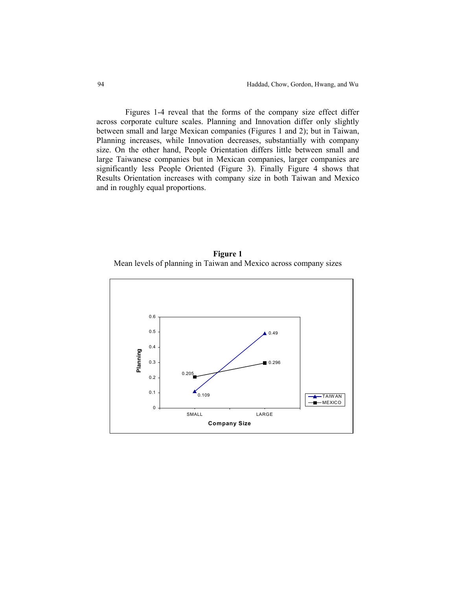Figures 1-4 reveal that the forms of the company size effect differ across corporate culture scales. Planning and Innovation differ only slightly between small and large Mexican companies (Figures 1 and 2); but in Taiwan, Planning increases, while Innovation decreases, substantially with company size. On the other hand, People Orientation differs little between small and large Taiwanese companies but in Mexican companies, larger companies are significantly less People Oriented (Figure 3). Finally Figure 4 shows that Results Orientation increases with company size in both Taiwan and Mexico and in roughly equal proportions.



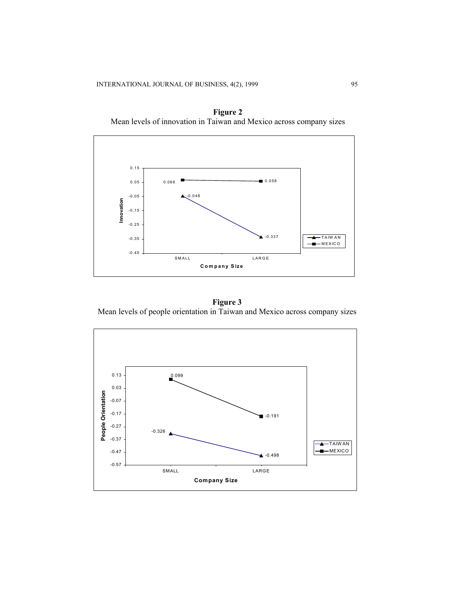

**Figure 2**  Mean levels of innovation in Taiwan and Mexico across company sizes

**Figure 3**  Mean levels of people orientation in Taiwan and Mexico across company sizes

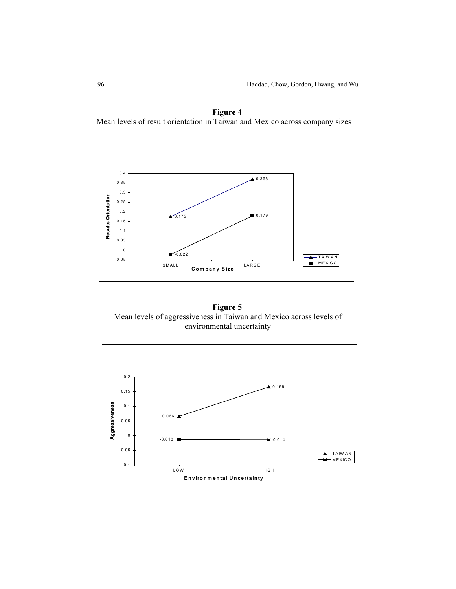



**Figure 5**  Mean levels of aggressiveness in Taiwan and Mexico across levels of environmental uncertainty

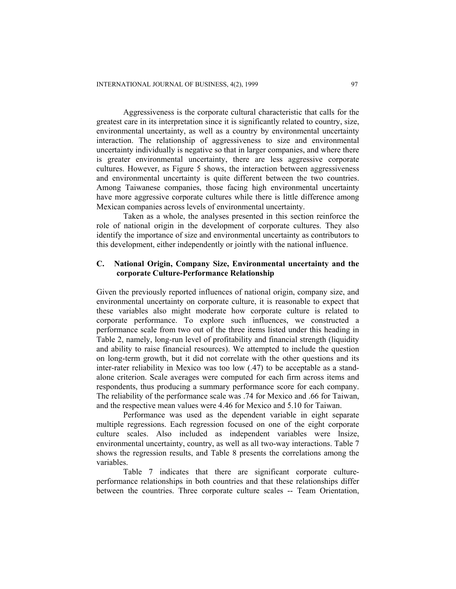Aggressiveness is the corporate cultural characteristic that calls for the greatest care in its interpretation since it is significantly related to country, size, environmental uncertainty, as well as a country by environmental uncertainty interaction. The relationship of aggressiveness to size and environmental uncertainty individually is negative so that in larger companies, and where there is greater environmental uncertainty, there are less aggressive corporate cultures. However, as Figure 5 shows, the interaction between aggressiveness and environmental uncertainty is quite different between the two countries. Among Taiwanese companies, those facing high environmental uncertainty have more aggressive corporate cultures while there is little difference among Mexican companies across levels of environmental uncertainty.

Taken as a whole, the analyses presented in this section reinforce the role of national origin in the development of corporate cultures. They also identify the importance of size and environmental uncertainty as contributors to this development, either independently or jointly with the national influence.

## **C. National Origin, Company Size, Environmental uncertainty and the corporate Culture-Performance Relationship**

Given the previously reported influences of national origin, company size, and environmental uncertainty on corporate culture, it is reasonable to expect that these variables also might moderate how corporate culture is related to corporate performance. To explore such influences, we constructed a performance scale from two out of the three items listed under this heading in Table 2, namely, long-run level of profitability and financial strength (liquidity and ability to raise financial resources). We attempted to include the question on long-term growth, but it did not correlate with the other questions and its inter-rater reliability in Mexico was too low (.47) to be acceptable as a standalone criterion. Scale averages were computed for each firm across items and respondents, thus producing a summary performance score for each company. The reliability of the performance scale was .74 for Mexico and .66 for Taiwan, and the respective mean values were 4.46 for Mexico and 5.10 for Taiwan.

Performance was used as the dependent variable in eight separate multiple regressions. Each regression focused on one of the eight corporate culture scales. Also included as independent variables were lnsize, environmental uncertainty, country, as well as all two-way interactions. Table 7 shows the regression results, and Table 8 presents the correlations among the variables.

Table 7 indicates that there are significant corporate cultureperformance relationships in both countries and that these relationships differ between the countries. Three corporate culture scales -- Team Orientation,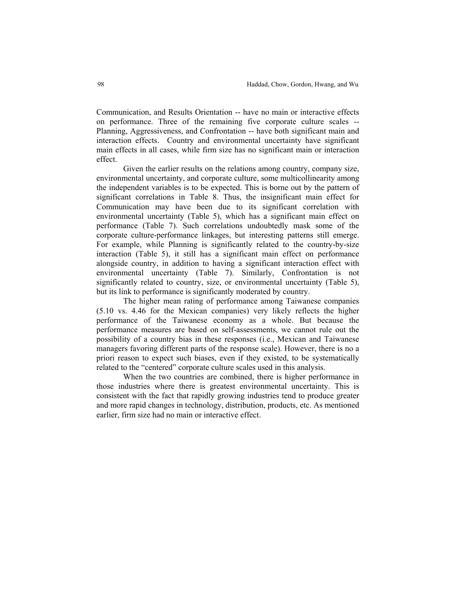Communication, and Results Orientation -- have no main or interactive effects on performance. Three of the remaining five corporate culture scales -- Planning, Aggressiveness, and Confrontation -- have both significant main and interaction effects. Country and environmental uncertainty have significant main effects in all cases, while firm size has no significant main or interaction effect.

Given the earlier results on the relations among country, company size, environmental uncertainty, and corporate culture, some multicollinearity among the independent variables is to be expected. This is borne out by the pattern of significant correlations in Table 8. Thus, the insignificant main effect for Communication may have been due to its significant correlation with environmental uncertainty (Table 5), which has a significant main effect on performance (Table 7). Such correlations undoubtedly mask some of the corporate culture-performance linkages, but interesting patterns still emerge. For example, while Planning is significantly related to the country-by-size interaction (Table 5), it still has a significant main effect on performance alongside country, in addition to having a significant interaction effect with environmental uncertainty (Table 7). Similarly, Confrontation is not significantly related to country, size, or environmental uncertainty (Table 5), but its link to performance is significantly moderated by country.

The higher mean rating of performance among Taiwanese companies (5.10 vs. 4.46 for the Mexican companies) very likely reflects the higher performance of the Taiwanese economy as a whole. But because the performance measures are based on self-assessments, we cannot rule out the possibility of a country bias in these responses (i.e., Mexican and Taiwanese managers favoring different parts of the response scale). However, there is no a priori reason to expect such biases, even if they existed, to be systematically related to the "centered" corporate culture scales used in this analysis.

When the two countries are combined, there is higher performance in those industries where there is greatest environmental uncertainty. This is consistent with the fact that rapidly growing industries tend to produce greater and more rapid changes in technology, distribution, products, etc. As mentioned earlier, firm size had no main or interactive effect.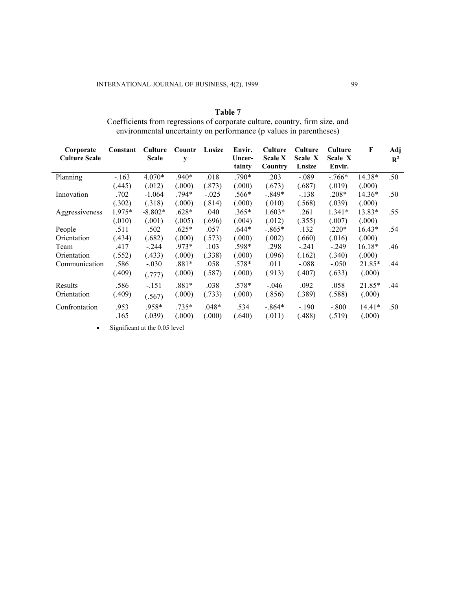| Table 7                                                                     |
|-----------------------------------------------------------------------------|
| Coefficients from regressions of corporate culture, country, firm size, and |
| environmental uncertainty on performance (p values in parentheses)          |

| Corporate            | Constant | Culture      | Countr  | Lnsize  | Envir.           | <b>Culture</b>            | Culture           | Culture           | F        | Adj            |
|----------------------|----------|--------------|---------|---------|------------------|---------------------------|-------------------|-------------------|----------|----------------|
| <b>Culture Scale</b> |          | <b>Scale</b> | y       |         | Uncer-<br>tainty | <b>Scale X</b><br>Country | Scale X<br>Lnsize | Scale X<br>Envir. |          | $\mathbf{R}^2$ |
| Planning             | $-.163$  | 4.070*       | $.940*$ | .018    | $.790*$          | .203                      | $-.089$           | $-766*$           | 14.38*   | .50            |
|                      | (.445)   | (.012)       | (.000)  | (.873)  | (.000)           | (.673)                    | (.687)            | (.019)            | (.000)   |                |
| Innovation           | .702     | $-1.064$     | $.794*$ | $-.025$ | .566*            | $-.849*$                  | $-.138$           | $.208*$           | $14.36*$ | .50            |
|                      | (.302)   | (.318)       | (.000)  | (.814)  | (.000)           | (.010)                    | (.568)            | (.039)            | (.000)   |                |
| Aggressiveness       | 1.975*   | $-8.802*$    | $.628*$ | .040    | $.365*$          | $1.603*$                  | .261              | $1.341*$          | 13.83*   | .55            |
|                      | (.010)   | (.001)       | (.005)  | (.696)  | (.004)           | (.012)                    | (.355)            | (.007)            | (.000)   |                |
| People               | .511     | .502         | $.625*$ | .057    | .644*            | $-865*$                   | .132              | $.220*$           | $16.43*$ | .54            |
| Orientation          | (.434)   | (.682)       | (.000)  | (.573)  | (.000)           | (.002)                    | (.660)            | (.016)            | (.000)   |                |
| Team                 | .417     | $-.244$      | .973*   | .103    | .598*            | .298                      | $-.241$           | $-.249$           | 16.18*   | .46            |
| Orientation          | (.552)   | (.433)       | (.000)  | (.338)  | (.000)           | (.096)                    | (.162)            | (.340)            | (.000)   |                |
| Communication        | .586     | $-.030$      | $.881*$ | .058    | .578*            | .011                      | $-.088$           | $-.050$           | 21.85*   | .44            |
|                      | (.409)   | (.777)       | (.000)  | (.587)  | (.000)           | (.913)                    | (.407)            | (.633)            | (.000)   |                |
| Results              | .586     | $-.151$      | .881*   | .038    | .578*            | $-.046$                   | .092              | .058              | 21.85*   | .44            |
| Orientation          | (.409)   | (.567)       | (.000)  | (.733)  | (.000)           | (.856)                    | (.389)            | (.588)            | (.000)   |                |
| Confrontation        | .953     | .958*        | $.735*$ | $.048*$ | .534             | $-.864*$                  | $-.190$           | $-.800$           | $14.41*$ | .50            |
|                      | .165     | (.039)       | (.000)  | (.000)  | (.640)           | (.011)                    | (.488)            | (.519)            | (.000)   |                |

• Significant at the 0.05 level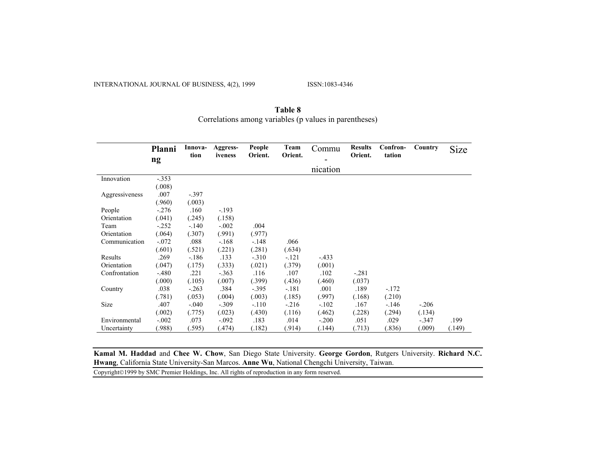INTERNATIONAL JOURNAL OF BUSINESS, 4(2), 1999 ISSN:1083-4346

|                | Planni  | Innova-<br>tion | Aggress-<br>iveness | People<br>Orient. | Team<br>Orient. | Commu    | <b>Results</b><br>Orient. | Confron-<br>tation | Country | Size   |
|----------------|---------|-----------------|---------------------|-------------------|-----------------|----------|---------------------------|--------------------|---------|--------|
|                | ng      |                 |                     |                   |                 |          |                           |                    |         |        |
|                |         |                 |                     |                   |                 | nication |                           |                    |         |        |
| Innovation     | $-.353$ |                 |                     |                   |                 |          |                           |                    |         |        |
|                | (.008)  |                 |                     |                   |                 |          |                           |                    |         |        |
| Aggressiveness | .007    | $-.397$         |                     |                   |                 |          |                           |                    |         |        |
|                | (.960)  | (.003)          |                     |                   |                 |          |                           |                    |         |        |
| People         | $-.276$ | .160            | $-193$              |                   |                 |          |                           |                    |         |        |
| Orientation    | (.041)  | (.245)          | (.158)              |                   |                 |          |                           |                    |         |        |
| Team           | $-.252$ | $-.140$         | $-.002$             | .004              |                 |          |                           |                    |         |        |
| Orientation    | (.064)  | (.307)          | (.991)              | (.977)            |                 |          |                           |                    |         |        |
| Communication  | $-.072$ | .088            | $-.168$             | $-.148$           | .066            |          |                           |                    |         |        |
|                | (.601)  | (.521)          | (.221)              | (.281)            | (.634)          |          |                           |                    |         |        |
| Results        | .269    | $-.186$         | .133                | $-.310$           | $-.121$         | $-.433$  |                           |                    |         |        |
| Orientation    | (.047)  | (.175)          | (.333)              | (.021)            | (.379)          | (.001)   |                           |                    |         |        |
| Confrontation  | $-.480$ | .221            | $-.363$             | .116              | .107            | .102     | $-.281$                   |                    |         |        |
|                | (.000)  | (.105)          | (.007)              | (.399)            | (.436)          | (.460)   | (.037)                    |                    |         |        |
| Country        | .038    | $-.263$         | .384                | $-.395$           | $-.181$         | .001     | .189                      | $-172$             |         |        |
|                | (.781)  | (.053)          | (.004)              | (.003)            | (.185)          | (.997)   | (.168)                    | (.210)             |         |        |
| Size           | .407    | $-.040$         | $-.309$             | $-.110$           | $-216$          | $-.102$  | .167                      | $-.146$            | $-.206$ |        |
|                | (.002)  | (.775)          | (.023)              | (.430)            | (.116)          | (.462)   | (.228)                    | (.294)             | (.134)  |        |
| Environmental  | $-.002$ | .073            | $-.092$             | .183              | .014            | $-.200$  | .051                      | .029               | $-.347$ | .199   |
| Uncertainty    | (988)   | .595)           | (474)               | (.182)            | (.914)          | (.144)   | (.713)                    | (.836)             | (.009)  | (.149) |

#### **Table 8** Correlations among variables (p values in parentheses)

**Kamal M. Haddad** and **Chee W. Chow**, San Diego State University. **George Gordon**, Rutgers University. **Richard N.C. Hwang**, California State University-San Marcos. **Anne Wu**, National Chengchi University, Taiwan.

Copyright©1999 by SMC Premier Holdings, Inc. All rights of reproduction in any form reserved.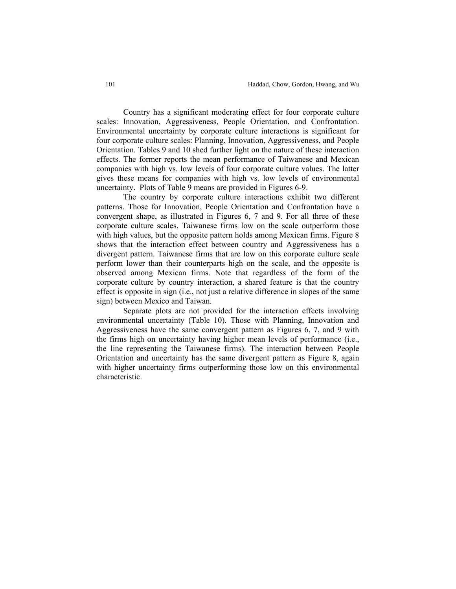Country has a significant moderating effect for four corporate culture scales: Innovation, Aggressiveness, People Orientation, and Confrontation. Environmental uncertainty by corporate culture interactions is significant for four corporate culture scales: Planning, Innovation, Aggressiveness, and People Orientation. Tables 9 and 10 shed further light on the nature of these interaction effects. The former reports the mean performance of Taiwanese and Mexican companies with high vs. low levels of four corporate culture values. The latter gives these means for companies with high vs. low levels of environmental uncertainty. Plots of Table 9 means are provided in Figures 6-9.

The country by corporate culture interactions exhibit two different patterns. Those for Innovation, People Orientation and Confrontation have a convergent shape, as illustrated in Figures 6, 7 and 9. For all three of these corporate culture scales, Taiwanese firms low on the scale outperform those with high values, but the opposite pattern holds among Mexican firms. Figure 8 shows that the interaction effect between country and Aggressiveness has a divergent pattern. Taiwanese firms that are low on this corporate culture scale perform lower than their counterparts high on the scale, and the opposite is observed among Mexican firms. Note that regardless of the form of the corporate culture by country interaction, a shared feature is that the country effect is opposite in sign (i.e., not just a relative difference in slopes of the same sign) between Mexico and Taiwan.

Separate plots are not provided for the interaction effects involving environmental uncertainty (Table 10). Those with Planning, Innovation and Aggressiveness have the same convergent pattern as Figures 6, 7, and 9 with the firms high on uncertainty having higher mean levels of performance (i.e., the line representing the Taiwanese firms). The interaction between People Orientation and uncertainty has the same divergent pattern as Figure 8, again with higher uncertainty firms outperforming those low on this environmental characteristic.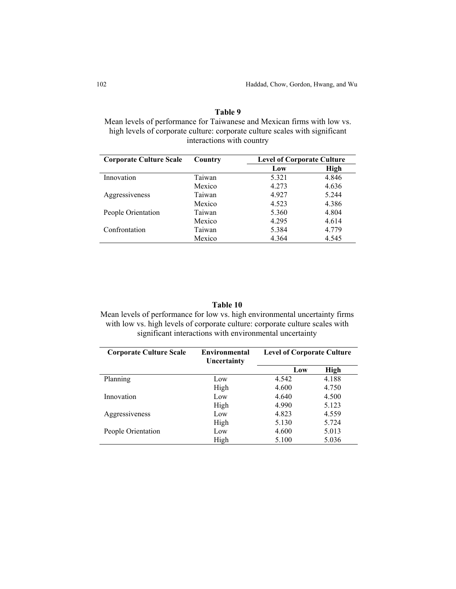## **Table 9**  Mean levels of performance for Taiwanese and Mexican firms with low vs. high levels of corporate culture: corporate culture scales with significant interactions with country

| <b>Corporate Culture Scale</b> | Country | <b>Level of Corporate Culture</b> |             |
|--------------------------------|---------|-----------------------------------|-------------|
|                                |         | Low                               | <b>High</b> |
| Innovation                     | Taiwan  | 5.321                             | 4.846       |
|                                | Mexico  | 4.273                             | 4.636       |
| Aggressiveness                 | Taiwan  | 4.927                             | 5.244       |
|                                | Mexico  | 4.523                             | 4.386       |
| People Orientation             | Taiwan  | 5.360                             | 4.804       |
|                                | Mexico  | 4.295                             | 4.614       |
| Confrontation                  | Taiwan  | 5.384                             | 4.779       |
|                                | Mexico  | 4.364                             | 4.545       |

### **Table 10**

Mean levels of performance for low vs. high environmental uncertainty firms with low vs. high levels of corporate culture: corporate culture scales with significant interactions with environmental uncertainty

| <b>Corporate Culture Scale</b> | Environmental<br>Uncertainty | <b>Level of Corporate Culture</b> |       |  |  |
|--------------------------------|------------------------------|-----------------------------------|-------|--|--|
|                                |                              | Low                               | High  |  |  |
| Planning                       | Low                          | 4.542                             | 4.188 |  |  |
|                                | High                         | 4.600                             | 4.750 |  |  |
| Innovation                     | Low                          | 4.640                             | 4.500 |  |  |
|                                | High                         | 4.990                             | 5.123 |  |  |
| Aggressiveness                 | Low                          | 4.823                             | 4.559 |  |  |
|                                | High                         | 5.130                             | 5.724 |  |  |
| People Orientation             | Low                          | 4.600                             | 5.013 |  |  |
|                                | High                         | 5.100                             | 5.036 |  |  |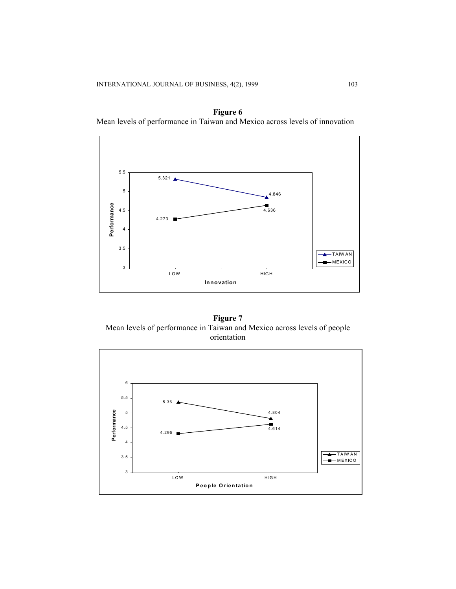



**Figure 7**  Mean levels of performance in Taiwan and Mexico across levels of people orientation

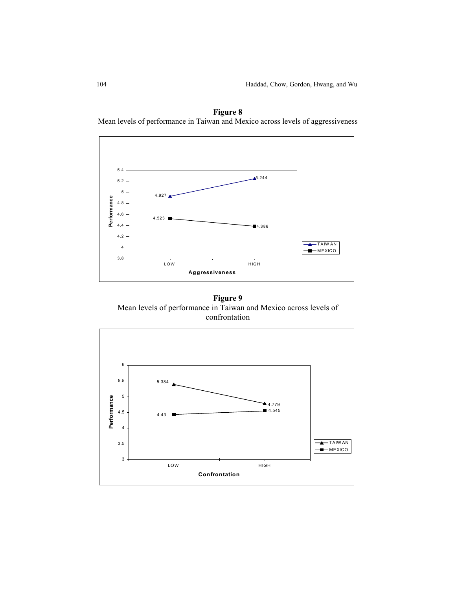

**Figure 8**  Mean levels of performance in Taiwan and Mexico across levels of aggressiveness

**Figure 9**  Mean levels of performance in Taiwan and Mexico across levels of confrontation

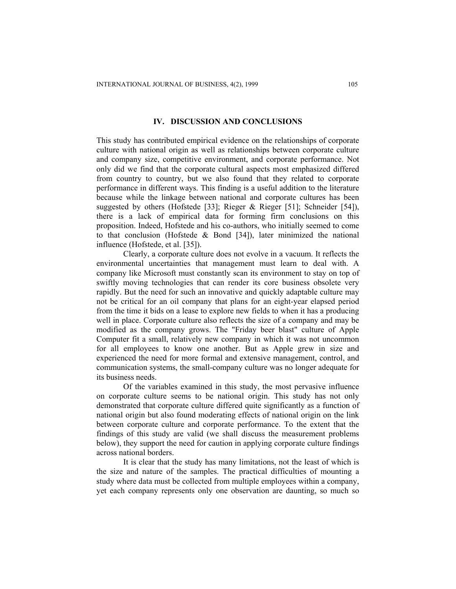#### **IV. DISCUSSION AND CONCLUSIONS**

This study has contributed empirical evidence on the relationships of corporate culture with national origin as well as relationships between corporate culture and company size, competitive environment, and corporate performance. Not only did we find that the corporate cultural aspects most emphasized differed from country to country, but we also found that they related to corporate performance in different ways. This finding is a useful addition to the literature because while the linkage between national and corporate cultures has been suggested by others (Hofstede [33]; Rieger & Rieger [51]; Schneider [54]), there is a lack of empirical data for forming firm conclusions on this proposition. Indeed, Hofstede and his co-authors, who initially seemed to come to that conclusion (Hofstede  $\&$  Bond [34]), later minimized the national influence (Hofstede, et al. [35]).

Clearly, a corporate culture does not evolve in a vacuum. It reflects the environmental uncertainties that management must learn to deal with. A company like Microsoft must constantly scan its environment to stay on top of swiftly moving technologies that can render its core business obsolete very rapidly. But the need for such an innovative and quickly adaptable culture may not be critical for an oil company that plans for an eight-year elapsed period from the time it bids on a lease to explore new fields to when it has a producing well in place. Corporate culture also reflects the size of a company and may be modified as the company grows. The "Friday beer blast" culture of Apple Computer fit a small, relatively new company in which it was not uncommon for all employees to know one another. But as Apple grew in size and experienced the need for more formal and extensive management, control, and communication systems, the small-company culture was no longer adequate for its business needs.

Of the variables examined in this study, the most pervasive influence on corporate culture seems to be national origin. This study has not only demonstrated that corporate culture differed quite significantly as a function of national origin but also found moderating effects of national origin on the link between corporate culture and corporate performance. To the extent that the findings of this study are valid (we shall discuss the measurement problems below), they support the need for caution in applying corporate culture findings across national borders.

It is clear that the study has many limitations, not the least of which is the size and nature of the samples. The practical difficulties of mounting a study where data must be collected from multiple employees within a company, yet each company represents only one observation are daunting, so much so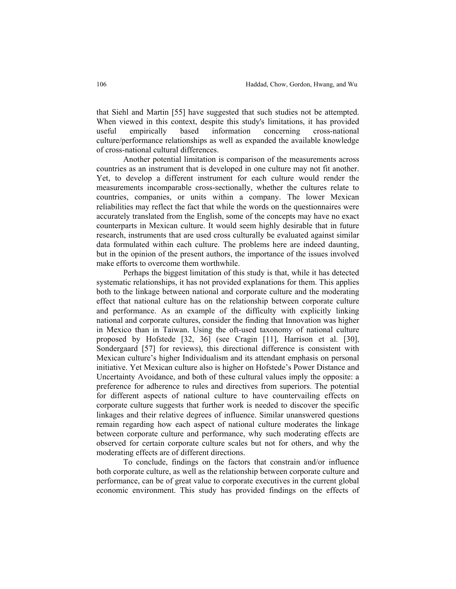that Siehl and Martin [55] have suggested that such studies not be attempted. When viewed in this context, despite this study's limitations, it has provided useful empirically based information concerning cross-national culture/performance relationships as well as expanded the available knowledge of cross-national cultural differences.

Another potential limitation is comparison of the measurements across countries as an instrument that is developed in one culture may not fit another. Yet, to develop a different instrument for each culture would render the measurements incomparable cross-sectionally, whether the cultures relate to countries, companies, or units within a company. The lower Mexican reliabilities may reflect the fact that while the words on the questionnaires were accurately translated from the English, some of the concepts may have no exact counterparts in Mexican culture. It would seem highly desirable that in future research, instruments that are used cross culturally be evaluated against similar data formulated within each culture. The problems here are indeed daunting, but in the opinion of the present authors, the importance of the issues involved make efforts to overcome them worthwhile.

Perhaps the biggest limitation of this study is that, while it has detected systematic relationships, it has not provided explanations for them. This applies both to the linkage between national and corporate culture and the moderating effect that national culture has on the relationship between corporate culture and performance. As an example of the difficulty with explicitly linking national and corporate cultures, consider the finding that Innovation was higher in Mexico than in Taiwan. Using the oft-used taxonomy of national culture proposed by Hofstede [32, 36] (see Cragin [11], Harrison et al. [30], Sondergaard [57] for reviews), this directional difference is consistent with Mexican culture's higher Individualism and its attendant emphasis on personal initiative. Yet Mexican culture also is higher on Hofstede's Power Distance and Uncertainty Avoidance, and both of these cultural values imply the opposite: a preference for adherence to rules and directives from superiors. The potential for different aspects of national culture to have countervailing effects on corporate culture suggests that further work is needed to discover the specific linkages and their relative degrees of influence. Similar unanswered questions remain regarding how each aspect of national culture moderates the linkage between corporate culture and performance, why such moderating effects are observed for certain corporate culture scales but not for others, and why the moderating effects are of different directions.

To conclude, findings on the factors that constrain and/or influence both corporate culture, as well as the relationship between corporate culture and performance, can be of great value to corporate executives in the current global economic environment. This study has provided findings on the effects of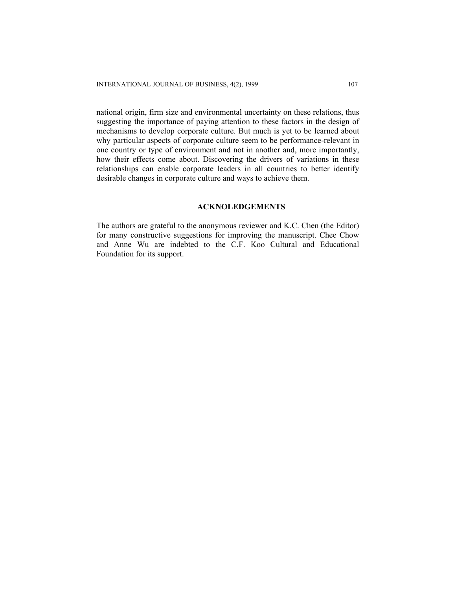national origin, firm size and environmental uncertainty on these relations, thus suggesting the importance of paying attention to these factors in the design of mechanisms to develop corporate culture. But much is yet to be learned about why particular aspects of corporate culture seem to be performance-relevant in one country or type of environment and not in another and, more importantly, how their effects come about. Discovering the drivers of variations in these relationships can enable corporate leaders in all countries to better identify desirable changes in corporate culture and ways to achieve them.

## **ACKNOLEDGEMENTS**

The authors are grateful to the anonymous reviewer and K.C. Chen (the Editor) for many constructive suggestions for improving the manuscript. Chee Chow and Anne Wu are indebted to the C.F. Koo Cultural and Educational Foundation for its support.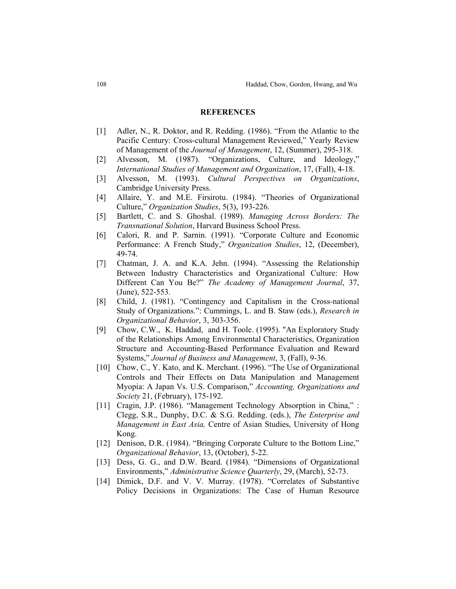#### **REFERENCES**

- [1] Adler, N., R. Doktor, and R. Redding. (1986). "From the Atlantic to the Pacific Century: Cross-cultural Management Reviewed," Yearly Review of Management of the *Journal of Management*, 12, (Summer), 295-318.
- [2] Alvesson, M. (1987). "Organizations, Culture, and Ideology," *International Studies of Management and Organization*, 17, (Fall), 4-18.
- [3] Alvesson, M. (1993). *Cultural Perspectives on Organizations*, Cambridge University Press.
- [4] Allaire, Y. and M.E. Firsirotu. (1984). "Theories of Organizational Culture," *Organization Studies*, 5(3), 193-226.
- [5] Bartlett, C. and S. Ghoshal. (1989). *Managing Across Borders: The Transnational Solution*, Harvard Business School Press.
- [6] Calori, R. and P. Sarnin. (1991). "Corporate Culture and Economic Performance: A French Study," *Organization Studies*, 12, (December), 49-74.
- [7] Chatman, J. A. and K.A. Jehn. (1994). "Assessing the Relationship Between Industry Characteristics and Organizational Culture: How Different Can You Be?" *The Academy of Management Journal*, 37, (June), 522-553.
- [8] Child, J. (1981). "Contingency and Capitalism in the Cross-national Study of Organizations.": Cummings, L. and B. Staw (eds.), *Research in Organizational Behavior*, 3, 303-356.
- [9] Chow, C.W., K. Haddad, and H. Toole. (1995). "An Exploratory Study of the Relationships Among Environmental Characteristics, Organization Structure and Accounting-Based Performance Evaluation and Reward Systems," *Journal of Business and Management*, 3, (Fall), 9-36.
- [10] Chow, C., Y. Kato, and K. Merchant. (1996). "The Use of Organizational Controls and Their Effects on Data Manipulation and Management Myopia: A Japan Vs. U.S. Comparison," *Accounting, Organizations and Society* 21, (February), 175-192.
- [11] Cragin, J.P. (1986). "Management Technology Absorption in China," : Clegg, S.R., Dunphy, D.C. & S.G. Redding. (eds.), *The Enterprise and Management in East Asia,* Centre of Asian Studies, University of Hong Kong.
- [12] Denison, D.R. (1984). "Bringing Corporate Culture to the Bottom Line," *Organizational Behavior*, 13, (October), 5-22.
- [13] Dess, G. G., and D.W. Beard. (1984). "Dimensions of Organizational Environments," *Administrative Science Quarterly*, 29, (March), 52-73.
- [14] Dimick, D.F. and V. V. Murray. (1978). "Correlates of Substantive Policy Decisions in Organizations: The Case of Human Resource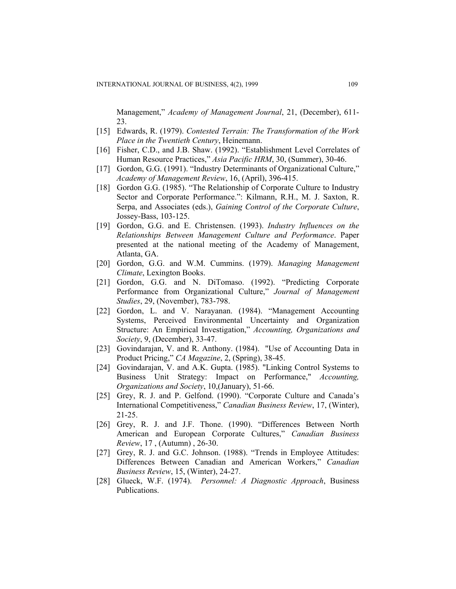Management," *Academy of Management Journal*, 21, (December), 611- 23.

- [15] Edwards, R. (1979). *Contested Terrain: The Transformation of the Work Place in the Twentieth Century*, Heinemann.
- [16] Fisher, C.D., and J.B. Shaw. (1992). "Establishment Level Correlates of Human Resource Practices," *Asia Pacific HRM*, 30, (Summer), 30-46.
- [17] Gordon, G.G. (1991). "Industry Determinants of Organizational Culture," *Academy of Management Review*, 16, (April), 396-415.
- [18] Gordon G.G. (1985). "The Relationship of Corporate Culture to Industry Sector and Corporate Performance.": Kilmann, R.H., M. J. Saxton, R. Serpa, and Associates (eds.), *Gaining Control of the Corporate Culture*, Jossey-Bass, 103-125.
- [19] Gordon, G.G. and E. Christensen. (1993). *Industry Influences on the Relationships Between Management Culture and Performance*. Paper presented at the national meeting of the Academy of Management, Atlanta, GA.
- [20] Gordon, G.G. and W.M. Cummins. (1979). *Managing Management Climate*, Lexington Books.
- [21] Gordon, G.G. and N. DiTomaso. (1992). "Predicting Corporate Performance from Organizational Culture," *Journal of Management Studies*, 29, (November), 783-798.
- [22] Gordon, L. and V. Narayanan. (1984). "Management Accounting Systems, Perceived Environmental Uncertainty and Organization Structure: An Empirical Investigation," *Accounting, Organizations and Society*, 9, (December), 33-47.
- [23] Govindarajan, V. and R. Anthony. (1984). "Use of Accounting Data in Product Pricing," *CA Magazine*, 2, (Spring), 38-45.
- [24] Govindarajan, V. and A.K. Gupta. (1985). "Linking Control Systems to Business Unit Strategy: Impact on Performance," *Accounting, Organizations and Society*, 10,(January), 51-66.
- [25] Grey, R. J. and P. Gelfond. (1990). "Corporate Culture and Canada's International Competitiveness," *Canadian Business Review*, 17, (Winter), 21-25.
- [26] Grey, R. J. and J.F. Thone. (1990). "Differences Between North American and European Corporate Cultures," *Canadian Business Review*, 17 , (Autumn) , 26-30.
- [27] Grey, R. J. and G.C. Johnson. (1988). "Trends in Employee Attitudes: Differences Between Canadian and American Workers," *Canadian Business Review*, 15, (Winter), 24-27.
- [28] Glueck, W.F. (1974). *Personnel: A Diagnostic Approach*, Business Publications.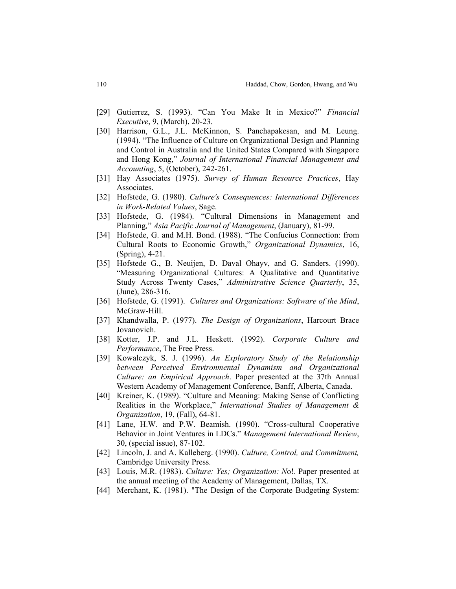- [29] Gutierrez, S. (1993). "Can You Make It in Mexico?" *Financial Executive*, 9, (March), 20-23.
- [30] Harrison, G.L., J.L. McKinnon, S. Panchapakesan, and M. Leung. (1994). "The Influence of Culture on Organizational Design and Planning and Control in Australia and the United States Compared with Singapore and Hong Kong," *Journal of International Financial Management and Accounting*, 5, (October), 242-261.
- [31] Hay Associates (1975). *Survey of Human Resource Practices*, Hay Associates.
- [32] Hofstede, G. (1980). *Culture's Consequences: International Differences in Work-Related Values*, Sage.
- [33] Hofstede, G. (1984). "Cultural Dimensions in Management and Planning*,*" *Asia Pacific Journal of Management*, (January), 81-99.
- [34] Hofstede, G. and M.H. Bond. (1988). "The Confucius Connection: from Cultural Roots to Economic Growth," *Organizational Dynamics*, 16, (Spring), 4-21.
- [35] Hofstede G., B. Neuijen, D. Daval Ohayv, and G. Sanders. (1990). "Measuring Organizational Cultures: A Qualitative and Quantitative Study Across Twenty Cases," *Administrative Science Quarterly*, 35, (June), 286-316.
- [36] Hofstede, G. (1991). *Cultures and Organizations: Software of the Mind*, McGraw-Hill.
- [37] Khandwalla, P. (1977). *The Design of Organizations*, Harcourt Brace Jovanovich.
- [38] Kotter, J.P. and J.L. Heskett. (1992). *Corporate Culture and Performance*, The Free Press.
- [39] Kowalczyk, S. J. (1996). *An Exploratory Study of the Relationship between Perceived Environmental Dynamism and Organizational Culture: an Empirical Approach*. Paper presented at the 37th Annual Western Academy of Management Conference, Banff, Alberta, Canada.
- [40] Kreiner, K. (1989). "Culture and Meaning: Making Sense of Conflicting Realities in the Workplace," *International Studies of Management & Organization*, 19, (Fall), 64-81.
- [41] Lane, H.W. and P.W. Beamish. (1990). "Cross-cultural Cooperative Behavior in Joint Ventures in LDCs." *Management International Review*, 30, (special issue), 87-102.
- [42] Lincoln, J. and A. Kalleberg. (1990). *Culture, Control, and Commitment,* Cambridge University Press.
- [43] Louis, M.R. (1983). *Culture: Yes; Organization: N*o!. Paper presented at the annual meeting of the Academy of Management, Dallas, TX.
- [44] Merchant, K. (1981). "The Design of the Corporate Budgeting System: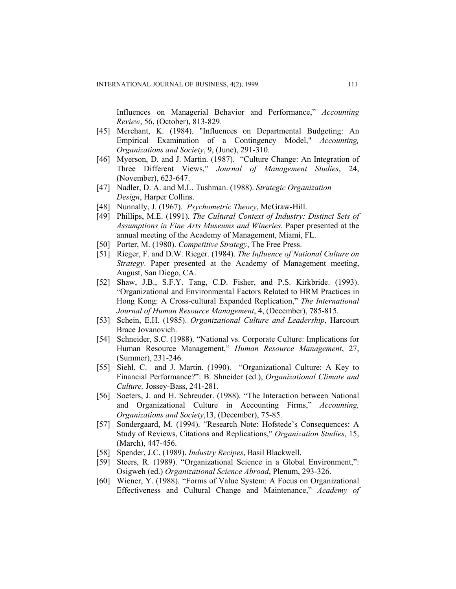Influences on Managerial Behavior and Performance," *Accounting Review*, 56, (October), 813-829.

- [45] Merchant, K. (1984). "Influences on Departmental Budgeting: An Empirical Examination of a Contingency Model," *Accounting, Organizations and Society*, 9, (June), 291-310.
- [46] Myerson, D. and J. Martin. (1987). "Culture Change: An Integration of Three Different Views," *Journal of Management Studies*, 24, (November), 623-647.
- [47] Nadler, D. A. and M.L. Tushman. (1988). *Strategic Organization Design*, Harper Collins.
- [48] Nunnally, J. (1967). *Psychometric Theory*, McGraw-Hill.
- [49] Phillips, M.E. (1991). *The Cultural Context of Industry: Distinct Sets of Assumptions in Fine Arts Museums and Wineries*. Paper presented at the annual meeting of the Academy of Management, Miami, FL.
- [50] Porter, M. (1980). *Competitive Strategy*, The Free Press.
- [51] Rieger, F. and D.W. Rieger. (1984). *The Influence of National Culture on Strategy*. Paper presented at the Academy of Management meeting, August, San Diego, CA.
- [52] Shaw, J.B., S.F.Y. Tang, C.D. Fisher, and P.S. Kirkbride. (1993). "Organizational and Environmental Factors Related to HRM Practices in Hong Kong: A Cross-cultural Expanded Replication," *The International Journal of Human Resource Management*, 4, (December), 785-815.
- [53] Schein, E.H. (1985). *Organizational Culture and Leadership*, Harcourt Brace Jovanovich.
- [54] Schneider, S.C. (1988). "National vs. Corporate Culture: Implications for Human Resource Management," *Human Resource Management*, 27, (Summer), 231-246.
- [55] Siehl, C. and J. Martin. (1990). "Organizational Culture: A Key to Financial Performance?": B. Shneider (ed.), *Organizational Climate and Culture,* Jossey-Bass, 241-281.
- [56] Soeters, J. and H. Schreuder. (1988). "The Interaction between National and Organizational Culture in Accounting Firms," *Accounting, Organizations and Society*,13, (December), 75-85.
- [57] Sondergaard, M. (1994). "Research Note: Hofstede's Consequences: A Study of Reviews, Citations and Replications," *Organization Studies*, 15, (March), 447-456.
- [58] Spender, J.C. (1989). *Industry Recipes*, Basil Blackwell.
- [59] Steers, R. (1989). "Organizational Science in a Global Environment,": Osigweh (ed.) *Organizational Science Abroad*, Plenum, 293-326.
- [60] Wiener, Y. (1988). "Forms of Value System: A Focus on Organizational Effectiveness and Cultural Change and Maintenance," *Academy of*